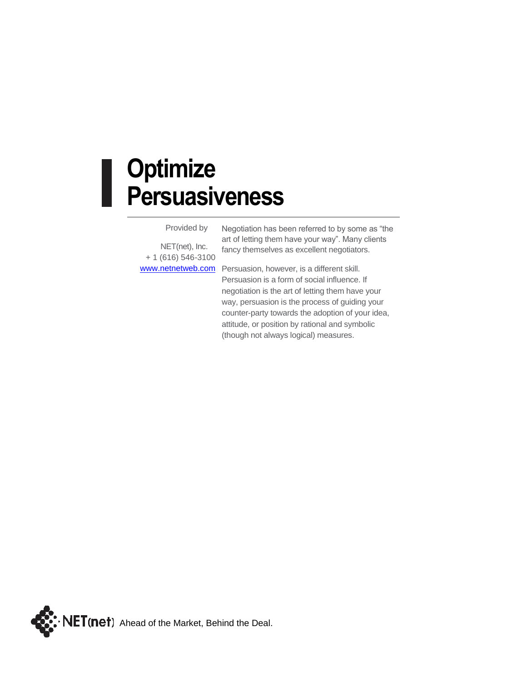## **Optimize Persuasiveness**

Provided by

NET(net), Inc. + 1 (616) 546-3100 Negotiation has been referred to by some as "the art of letting them have your way". Many clients fancy themselves as excellent negotiators.

[www.netnetweb.com](http://www.netnetweb.com/) Persuasion, however, is a different skill. Persuasion is a form of social influence. If negotiation is the art of letting them have your way, persuasion is the process of guiding your counter-party towards the adoption of your idea, attitude, or position by rational and symbolic (though not always logical) measures.

 $\cdot$  **NET(net)** Ahead of the Market, Behind the Deal.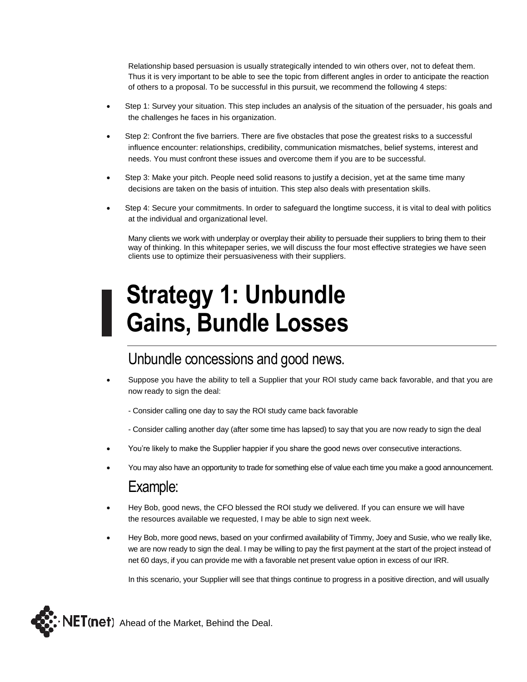Relationship based persuasion is usually strategically intended to win others over, not to defeat them. Thus it is very important to be able to see the topic from different angles in order to anticipate the reaction of others to a proposal. To be successful in this pursuit, we recommend the following 4 steps:

- Step 1: Survey your situation. This step includes an analysis of the situation of the persuader, his goals and the challenges he faces in his organization.
- Step 2: Confront the five barriers. There are five obstacles that pose the greatest risks to a successful influence encounter: relationships, credibility, communication mismatches, belief systems, interest and needs. You must confront these issues and overcome them if you are to be successful.
- Step 3: Make your pitch. People need solid reasons to justify a decision, yet at the same time many decisions are taken on the basis of intuition. This step also deals with presentation skills.
- Step 4: Secure your commitments. In order to safeguard the longtime success, it is vital to deal with politics at the individual and organizational level.

Many clients we work with underplay or overplay their ability to persuade their suppliers to bring them to their way of thinking. In this whitepaper series, we will discuss the four most effective strategies we have seen clients use to optimize their persuasiveness with their suppliers.

## **Strategy 1: Unbundle Gains, Bundle Losses**

#### Unbundle concessions and good news.

- Suppose you have the ability to tell a Supplier that your ROI study came back favorable, and that you are now ready to sign the deal:
	- Consider calling one day to say the ROI study came back favorable
	- Consider calling another day (after some time has lapsed) to say that you are now ready to sign the deal
- You're likely to make the Supplier happier if you share the good news over consecutive interactions.
- You may also have an opportunity to trade for something else of value each time you make a good announcement.

#### Example:

- Hey Bob, good news, the CFO blessed the ROI study we delivered. If you can ensure we will have the resources available we requested, I may be able to sign next week.
- Hey Bob, more good news, based on your confirmed availability of Timmy, Joey and Susie, who we really like, we are now ready to sign the deal. I may be willing to pay the first payment at the start of the project instead of net 60 days, if you can provide me with a favorable net present value option in excess of our IRR.

In this scenario, your Supplier will see that things continue to progress in a positive direction, and will usually

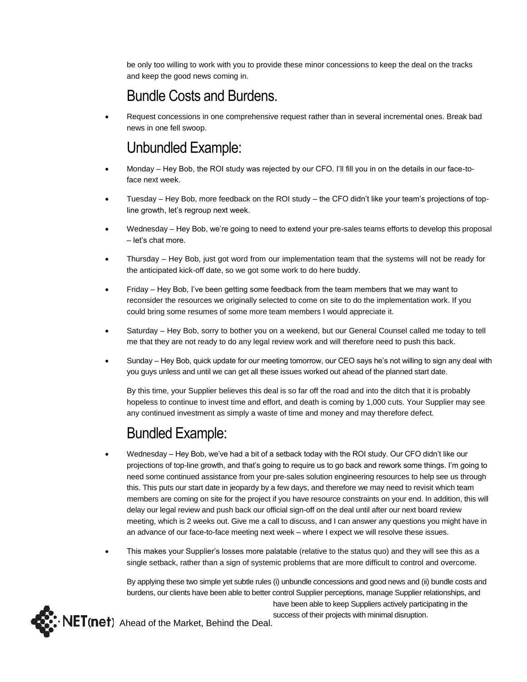be only too willing to work with you to provide these minor concessions to keep the deal on the tracks and keep the good news coming in.

## Bundle Costs and Burdens.

• Request concessions in one comprehensive request rather than in several incremental ones. Break bad news in one fell swoop.

## Unbundled Example:

- Monday Hey Bob, the ROI study was rejected by our CFO. I'll fill you in on the details in our face-toface next week.
- Tuesday Hey Bob, more feedback on the ROI study the CFO didn't like your team's projections of topline growth, let's regroup next week.
- Wednesday Hey Bob, we're going to need to extend your pre-sales teams efforts to develop this proposal – let's chat more.
- Thursday Hey Bob, just got word from our implementation team that the systems will not be ready for the anticipated kick-off date, so we got some work to do here buddy.
- Friday Hey Bob, I've been getting some feedback from the team members that we may want to reconsider the resources we originally selected to come on site to do the implementation work. If you could bring some resumes of some more team members I would appreciate it.
- Saturday Hey Bob, sorry to bother you on a weekend, but our General Counsel called me today to tell me that they are not ready to do any legal review work and will therefore need to push this back.
- Sunday Hey Bob, quick update for our meeting tomorrow, our CEO says he's not willing to sign any deal with you guys unless and until we can get all these issues worked out ahead of the planned start date.

By this time, your Supplier believes this deal is so far off the road and into the ditch that it is probably hopeless to continue to invest time and effort, and death is coming by 1,000 cuts. Your Supplier may see any continued investment as simply a waste of time and money and may therefore defect.

## Bundled Example:

- Wednesday Hey Bob, we've had a bit of a setback today with the ROI study. Our CFO didn't like our projections of top-line growth, and that's going to require us to go back and rework some things. I'm going to need some continued assistance from your pre-sales solution engineering resources to help see us through this. This puts our start date in jeopardy by a few days, and therefore we may need to revisit which team members are coming on site for the project if you have resource constraints on your end. In addition, this will delay our legal review and push back our official sign-off on the deal until after our next board review meeting, which is 2 weeks out. Give me a call to discuss, and I can answer any questions you might have in an advance of our face-to-face meeting next week – where I expect we will resolve these issues.
- This makes your Supplier's losses more palatable (relative to the status quo) and they will see this as a single setback, rather than a sign of systemic problems that are more difficult to control and overcome.

By applying these two simple yet subtle rules (i) unbundle concessions and good news and (ii) bundle costs and burdens, our clients have been able to better control Supplier perceptions, manage Supplier relationships, and have been able to keep Suppliers actively participating in the success of their projects with minimal disruption.

 $\cdot$  NET(net) Ahead of the Market, Behind the Deal.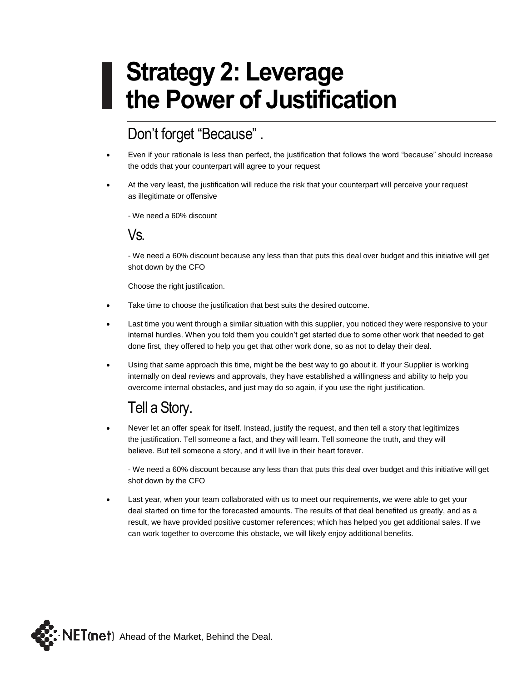## **Strategy 2: Leverage the Power of Justification**

## Don't forget "Because" .

- Even if your rationale is less than perfect, the justification that follows the word "because" should increase the odds that your counterpart will agree to your request
- At the very least, the justification will reduce the risk that your counterpart will perceive your request as illegitimate or offensive

- We need a 60% discount

#### Vs.

- We need a 60% discount because any less than that puts this deal over budget and this initiative will get shot down by the CFO

Choose the right justification.

- Take time to choose the justification that best suits the desired outcome.
- Last time you went through a similar situation with this supplier, you noticed they were responsive to your internal hurdles. When you told them you couldn't get started due to some other work that needed to get done first, they offered to help you get that other work done, so as not to delay their deal.
- Using that same approach this time, might be the best way to go about it. If your Supplier is working internally on deal reviews and approvals, they have established a willingness and ability to help you overcome internal obstacles, and just may do so again, if you use the right justification.

## Tell a Story.

• Never let an offer speak for itself. Instead, justify the request, and then tell a story that legitimizes the justification. Tell someone a fact, and they will learn. Tell someone the truth, and they will believe. But tell someone a story, and it will live in their heart forever.

- We need a 60% discount because any less than that puts this deal over budget and this initiative will get shot down by the CFO

Last year, when your team collaborated with us to meet our requirements, we were able to get your deal started on time for the forecasted amounts. The results of that deal benefited us greatly, and as a result, we have provided positive customer references; which has helped you get additional sales. If we can work together to overcome this obstacle, we will likely enjoy additional benefits.

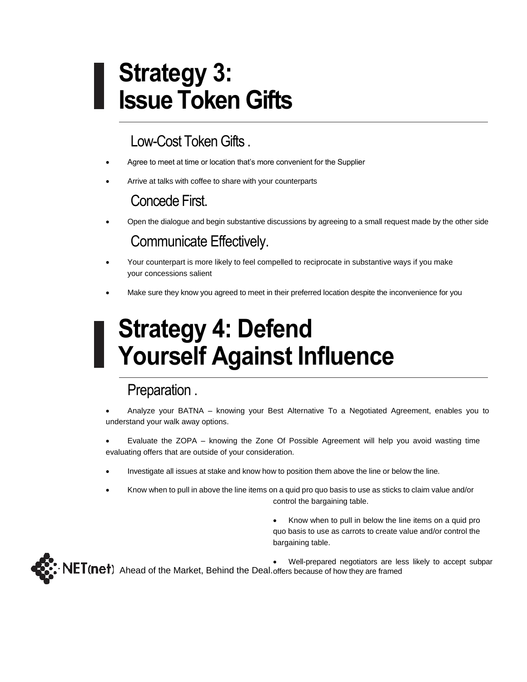# **Strategy 3: Issue Token Gifts**

## Low-Cost Token Gifts .

- Agree to meet at time or location that's more convenient for the Supplier
- Arrive at talks with coffee to share with your counterparts

## Concede First.

• Open the dialogue and begin substantive discussions by agreeing to a small request made by the other side

## Communicate Effectively.

- Your counterpart is more likely to feel compelled to reciprocate in substantive ways if you make your concessions salient
- Make sure they know you agreed to meet in their preferred location despite the inconvenience for you

# **Strategy 4: Defend Yourself Against Influence**

## Preparation .

- Analyze your BATNA knowing your Best Alternative To a Negotiated Agreement, enables you to understand your walk away options.
- Evaluate the ZOPA knowing the Zone Of Possible Agreement will help you avoid wasting time evaluating offers that are outside of your consideration.
- Investigate all issues at stake and know how to position them above the line or below the line.
- Know when to pull in above the line items on a quid pro quo basis to use as sticks to claim value and/or control the bargaining table.
	- Know when to pull in below the line items on a quid pro quo basis to use as carrots to create value and/or control the bargaining table.



• Well-prepared negotiators are less likely to accept subpar Ahead of the Market, Behind the Deal. offers because of how they are framed